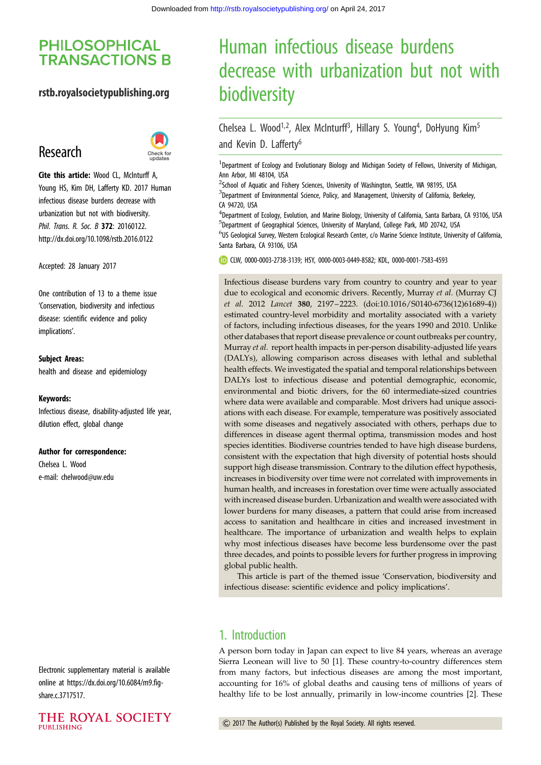# **PHILOSOPHICAL TRANSACTIONS B**

## rstb.royalsocietypublishing.org

# Research



Cite this article: Wood CL, McInturff A, Young HS, Kim DH, Lafferty KD. 2017 Human infectious disease burdens decrease with urbanization but not with biodiversity. Phil. Trans. R. Soc. B 372: 20160122. http://dx.doi.org/10.1098/rstb.2016.0122

Accepted: 28 January 2017

One contribution of 13 to a theme issue ['Conservation, biodiversity and infectious](http://dx.doi.org/10.1098/rstb/372/1722) [disease: scientific evidence and policy](http://dx.doi.org/10.1098/rstb/372/1722) [implications'.](http://dx.doi.org/10.1098/rstb/372/1722)

#### Subject Areas:

health and disease and epidemiology

#### Keywords:

Infectious disease, disability-adjusted life year, dilution effect, global change

#### Author for correspondence:

Chelsea L. Wood e-mail: [chelwood@uw.edu](mailto:chelwood@uw.edu)

Electronic supplementary material is available online at [https://dx.doi.org/10.6084/m9.fig](https://dx.doi.org/10.6084/m9.figshare.c.3717517)[share.c.3717517.](https://dx.doi.org/10.6084/m9.figshare.c.3717517)

THE ROYAL SOCIETY **PUBLISHING** 

# Human infectious disease burdens decrease with urbanization but not with biodiversity

# Chelsea L. Wood<sup>1,2</sup>, Alex McInturff<sup>3</sup>, Hillary S. Young<sup>4</sup>, DoHyung Kim<sup>5</sup> and Kevin D. Lafferty<sup>6</sup>

<sup>1</sup>Department of Ecology and Evolutionary Biology and Michigan Society of Fellows, University of Michigan, Ann Arbor, MI 48104, USA

<sup>2</sup>School of Aquatic and Fishery Sciences, University of Washington, Seattle, WA 98195, USA <sup>3</sup>Department of Environmental Science, Policy, and Management, University of California, Berkeley, CA 94720, USA

<sup>4</sup>Department of Ecology, Evolution, and Marine Biology, University of California, Santa Barbara, CA 93106, USA 5 Department of Geographical Sciences, University of Maryland, College Park, MD 20742, USA <sup>6</sup>US Geological Survey, Western Ecological Research Center, c/o Marine Science Institute, University of California, Santa Barbara, CA 93106, USA

CLW, [0000-0003-2738-3139;](http://orcid.org/0000-0003-2738-3139) HSY, [0000-0003-0449-8582;](http://orcid.org/0000-0003-0449-8582) KDL, [0000-0001-7583-4593](http://orcid.org/0000-0001-7583-4593)

Infectious disease burdens vary from country to country and year to year due to ecological and economic drivers. Recently, Murray et al. (Murray CJ et al. 2012 Lancet 380, 2197–2223. ([doi:10.1016/S0140-6736\(12\)61689-4\)](http://dx.doi.org/10.1016/S0140-6736(12)61689-4)) estimated country-level morbidity and mortality associated with a variety of factors, including infectious diseases, for the years 1990 and 2010. Unlike other databases that report disease prevalence or count outbreaks per country, Murray et al. report health impacts in per-person disability-adjusted life years (DALYs), allowing comparison across diseases with lethal and sublethal health effects. We investigated the spatial and temporal relationships between DALYs lost to infectious disease and potential demographic, economic, environmental and biotic drivers, for the 60 intermediate-sized countries where data were available and comparable. Most drivers had unique associations with each disease. For example, temperature was positively associated with some diseases and negatively associated with others, perhaps due to differences in disease agent thermal optima, transmission modes and host species identities. Biodiverse countries tended to have high disease burdens, consistent with the expectation that high diversity of potential hosts should support high disease transmission. Contrary to the dilution effect hypothesis, increases in biodiversity over time were not correlated with improvements in human health, and increases in forestation over time were actually associated with increased disease burden. Urbanization and wealth were associated with lower burdens for many diseases, a pattern that could arise from increased access to sanitation and healthcare in cities and increased investment in healthcare. The importance of urbanization and wealth helps to explain why most infectious diseases have become less burdensome over the past three decades, and points to possible levers for further progress in improving global public health.

This article is part of the themed issue 'Conservation, biodiversity and infectious disease: scientific evidence and policy implications'.

#### 1. Introduction

A person born today in Japan can expect to live 84 years, whereas an average Sierra Leonean will live to 50 [\[1\]](#page-12-0). These country-to-country differences stem from many factors, but infectious diseases are among the most important, accounting for 16% of global deaths and causing tens of millions of years of healthy life to be lost annually, primarily in low-income countries [[2](#page-12-0)]. These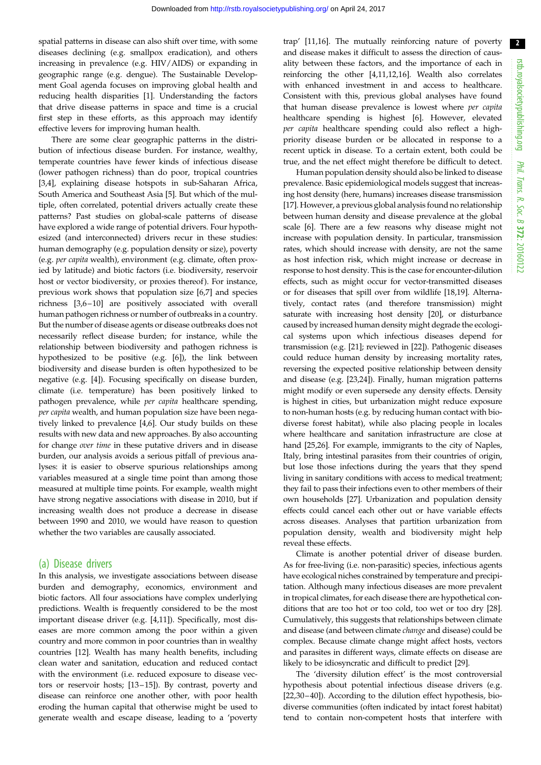2

spatial patterns in disease can also shift over time, with some diseases declining (e.g. smallpox eradication), and others increasing in prevalence (e.g. HIV/AIDS) or expanding in geographic range (e.g. dengue). The Sustainable Development Goal agenda focuses on improving global health and reducing health disparities [[1](#page-12-0)]. Understanding the factors that drive disease patterns in space and time is a crucial first step in these efforts, as this approach may identify effective levers for improving human health.

There are some clear geographic patterns in the distribution of infectious disease burden. For instance, wealthy, temperate countries have fewer kinds of infectious disease (lower pathogen richness) than do poor, tropical countries [\[3,4\]](#page-12-0), explaining disease hotspots in sub-Saharan Africa, South America and Southeast Asia [[5](#page-12-0)]. But which of the multiple, often correlated, potential drivers actually create these patterns? Past studies on global-scale patterns of disease have explored a wide range of potential drivers. Four hypothesized (and interconnected) drivers recur in these studies: human demography (e.g. population density or size), poverty (e.g. per capita wealth), environment (e.g. climate, often proxied by latitude) and biotic factors (i.e. biodiversity, reservoir host or vector biodiversity, or proxies thereof). For instance, previous work shows that population size [[6,7\]](#page-12-0) and species richness [\[3,6](#page-12-0)–[10\]](#page-12-0) are positively associated with overall human pathogen richness or number of outbreaks in a country. But the number of disease agents or disease outbreaks does not necessarily reflect disease burden; for instance, while the relationship between biodiversity and pathogen richness is hypothesized to be positive (e.g. [[6](#page-12-0)]), the link between biodiversity and disease burden is often hypothesized to be negative (e.g. [\[4\]](#page-12-0)). Focusing specifically on disease burden, climate (i.e. temperature) has been positively linked to pathogen prevalence, while *per capita* healthcare spending, per capita wealth, and human population size have been negatively linked to prevalence [\[4,6](#page-12-0)]. Our study builds on these results with new data and new approaches. By also accounting for change over time in these putative drivers and in disease burden, our analysis avoids a serious pitfall of previous analyses: it is easier to observe spurious relationships among variables measured at a single time point than among those measured at multiple time points. For example, wealth might have strong negative associations with disease in 2010, but if increasing wealth does not produce a decrease in disease between 1990 and 2010, we would have reason to question whether the two variables are causally associated.

#### (a) Disease drivers

In this analysis, we investigate associations between disease burden and demography, economics, environment and biotic factors. All four associations have complex underlying predictions. Wealth is frequently considered to be the most important disease driver (e.g. [\[4,11](#page-12-0)]). Specifically, most diseases are more common among the poor within a given country and more common in poor countries than in wealthy countries [[12\]](#page-12-0). Wealth has many health benefits, including clean water and sanitation, education and reduced contact with the environment (i.e. reduced exposure to disease vectors or reservoir hosts; [[13](#page-12-0) –[15](#page-12-0)]). By contrast, poverty and disease can reinforce one another other, with poor health eroding the human capital that otherwise might be used to generate wealth and escape disease, leading to a 'poverty

trap' [\[11](#page-12-0),[16\]](#page-12-0). The mutually reinforcing nature of poverty and disease makes it difficult to assess the direction of causality between these factors, and the importance of each in reinforcing the other [\[4,11,12](#page-12-0),[16\]](#page-12-0). Wealth also correlates with enhanced investment in and access to healthcare. Consistent with this, previous global analyses have found that human disease prevalence is lowest where per capita healthcare spending is highest [[6](#page-12-0)]. However, elevated per capita healthcare spending could also reflect a highpriority disease burden or be allocated in response to a recent uptick in disease. To a certain extent, both could be true, and the net effect might therefore be difficult to detect.

Human population density should also be linked to disease prevalence. Basic epidemiological models suggest that increasing host density (here, humans) increases disease transmission [[17\]](#page-12-0). However, a previous global analysis found no relationship between human density and disease prevalence at the global scale [\[6](#page-12-0)]. There are a few reasons why disease might not increase with population density. In particular, transmission rates, which should increase with density, are not the same as host infection risk, which might increase or decrease in response to host density. This is the case for encounter-dilution effects, such as might occur for vector-transmitted diseases or for diseases that spill over from wildlife [[18,19\]](#page-12-0). Alternatively, contact rates (and therefore transmission) might saturate with increasing host density [\[20](#page-12-0)], or disturbance caused by increased human density might degrade the ecological systems upon which infectious diseases depend for transmission (e.g. [\[21](#page-12-0)]; reviewed in [\[22](#page-12-0)]). Pathogenic diseases could reduce human density by increasing mortality rates, reversing the expected positive relationship between density and disease (e.g. [\[23](#page-12-0),[24\]](#page-12-0)). Finally, human migration patterns might modify or even supersede any density effects. Density is highest in cities, but urbanization might reduce exposure to non-human hosts (e.g. by reducing human contact with biodiverse forest habitat), while also placing people in locales where healthcare and sanitation infrastructure are close at hand [\[25,26](#page-12-0)]. For example, immigrants to the city of Naples, Italy, bring intestinal parasites from their countries of origin, but lose those infections during the years that they spend living in sanitary conditions with access to medical treatment; they fail to pass their infections even to other members of their own households [[27\]](#page-12-0). Urbanization and population density effects could cancel each other out or have variable effects across diseases. Analyses that partition urbanization from population density, wealth and biodiversity might help reveal these effects.

Climate is another potential driver of disease burden. As for free-living (i.e. non-parasitic) species, infectious agents have ecological niches constrained by temperature and precipitation. Although many infectious diseases are more prevalent in tropical climates, for each disease there are hypothetical conditions that are too hot or too cold, too wet or too dry [[28\]](#page-12-0). Cumulatively, this suggests that relationships between climate and disease (and between climate change and disease) could be complex. Because climate change might affect hosts, vectors and parasites in different ways, climate effects on disease are likely to be idiosyncratic and difficult to predict [\[29](#page-12-0)].

The 'diversity dilution effect' is the most controversial hypothesis about potential infectious disease drivers (e.g. [[22,30](#page-12-0)-[40](#page-12-0)]). According to the dilution effect hypothesis, biodiverse communities (often indicated by intact forest habitat) tend to contain non-competent hosts that interfere with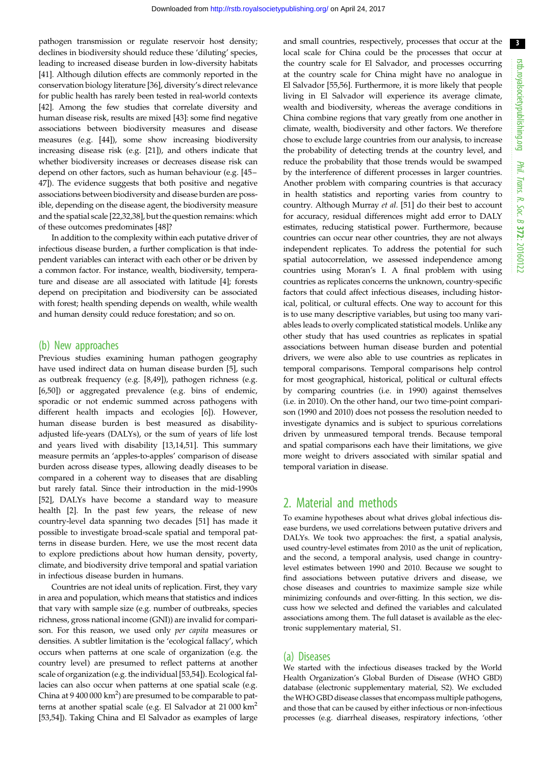pathogen transmission or regulate reservoir host density; declines in biodiversity should reduce these 'diluting' species, leading to increased disease burden in low-diversity habitats [\[41](#page-12-0)]. Although dilution effects are commonly reported in the conservation biology literature [[36\]](#page-12-0), diversity's direct relevance for public health has rarely been tested in real-world contexts [\[42](#page-12-0)]. Among the few studies that correlate diversity and human disease risk, results are mixed [\[43](#page-12-0)]: some find negative associations between biodiversity measures and disease measures (e.g. [[44\]](#page-12-0)), some show increasing biodiversity increasing disease risk (e.g. [[21\]](#page-12-0)), and others indicate that whether biodiversity increases or decreases disease risk can depend on other factors, such as human behaviour (e.g. [\[45](#page-13-0)– [47](#page-13-0)]). The evidence suggests that both positive and negative associations between biodiversity and disease burden are possible, depending on the disease agent, the biodiversity measure and the spatial scale [\[22,32](#page-12-0),[38](#page-12-0)], but the question remains: which of these outcomes predominates [[48\]](#page-13-0)?

In addition to the complexity within each putative driver of infectious disease burden, a further complication is that independent variables can interact with each other or be driven by a common factor. For instance, wealth, biodiversity, temperature and disease are all associated with latitude [[4](#page-12-0)]; forests depend on precipitation and biodiversity can be associated with forest; health spending depends on wealth, while wealth and human density could reduce forestation; and so on.

#### (b) New approaches

Previous studies examining human pathogen geography have used indirect data on human disease burden [\[5\]](#page-12-0), such as outbreak frequency (e.g. [\[8](#page-12-0)[,49](#page-13-0)]), pathogen richness (e.g. [\[6](#page-12-0)[,50](#page-13-0)]) or aggregated prevalence (e.g. bins of endemic, sporadic or not endemic summed across pathogens with different health impacts and ecologies [[6](#page-12-0)]). However, human disease burden is best measured as disabilityadjusted life-years (DALYs), or the sum of years of life lost and years lived with disability [[13,14](#page-12-0)[,51](#page-13-0)]. This summary measure permits an 'apples-to-apples' comparison of disease burden across disease types, allowing deadly diseases to be compared in a coherent way to diseases that are disabling but rarely fatal. Since their introduction in the mid-1990s [\[52](#page-13-0)], DALYs have become a standard way to measure health [[2](#page-12-0)]. In the past few years, the release of new country-level data spanning two decades [\[51](#page-13-0)] has made it possible to investigate broad-scale spatial and temporal patterns in disease burden. Here, we use the most recent data to explore predictions about how human density, poverty, climate, and biodiversity drive temporal and spatial variation in infectious disease burden in humans.

Countries are not ideal units of replication. First, they vary in area and population, which means that statistics and indices that vary with sample size (e.g. number of outbreaks, species richness, gross national income (GNI)) are invalid for comparison. For this reason, we used only per capita measures or densities. A subtler limitation is the 'ecological fallacy', which occurs when patterns at one scale of organization (e.g. the country level) are presumed to reflect patterns at another scale of organization (e.g. the individual [[53,54](#page-13-0)]). Ecological fallacies can also occur when patterns at one spatial scale (e.g. China at 9 400 000 km<sup>2</sup>) are presumed to be comparable to patterns at another spatial scale (e.g. El Salvador at 21 000 km2 [\[53,54](#page-13-0)]). Taking China and El Salvador as examples of large

and small countries, respectively, processes that occur at the local scale for China could be the processes that occur at the country scale for El Salvador, and processes occurring at the country scale for China might have no analogue in El Salvador [[55,56\]](#page-13-0). Furthermore, it is more likely that people living in El Salvador will experience its average climate, wealth and biodiversity, whereas the average conditions in China combine regions that vary greatly from one another in climate, wealth, biodiversity and other factors. We therefore chose to exclude large countries from our analysis, to increase the probability of detecting trends at the country level, and reduce the probability that those trends would be swamped by the interference of different processes in larger countries. Another problem with comparing countries is that accuracy in health statistics and reporting varies from country to country. Although Murray et al. [\[51](#page-13-0)] do their best to account for accuracy, residual differences might add error to DALY estimates, reducing statistical power. Furthermore, because countries can occur near other countries, they are not always independent replicates. To address the potential for such spatial autocorrelation, we assessed independence among countries using Moran's I. A final problem with using countries as replicates concerns the unknown, country-specific factors that could affect infectious diseases, including historical, political, or cultural effects. One way to account for this is to use many descriptive variables, but using too many variables leads to overly complicated statistical models. Unlike any other study that has used countries as replicates in spatial associations between human disease burden and potential drivers, we were also able to use countries as replicates in temporal comparisons. Temporal comparisons help control for most geographical, historical, political or cultural effects by comparing countries (i.e. in 1990) against themselves (i.e. in 2010). On the other hand, our two time-point comparison (1990 and 2010) does not possess the resolution needed to investigate dynamics and is subject to spurious correlations driven by unmeasured temporal trends. Because temporal and spatial comparisons each have their limitations, we give more weight to drivers associated with similar spatial and temporal variation in disease.

### 2. Material and methods

To examine hypotheses about what drives global infectious disease burdens, we used correlations between putative drivers and DALYs. We took two approaches: the first, a spatial analysis, used country-level estimates from 2010 as the unit of replication, and the second, a temporal analysis, used change in countrylevel estimates between 1990 and 2010. Because we sought to find associations between putative drivers and disease, we chose diseases and countries to maximize sample size while minimizing confounds and over-fitting. In this section, we discuss how we selected and defined the variables and calculated associations among them. The full dataset is available as the electronic supplementary material, S1.

#### (a) Diseases

We started with the infectious diseases tracked by the World Health Organization's Global Burden of Disease (WHO GBD) database (electronic supplementary material, S2). We excluded the WHO GBD disease classes that encompass multiple pathogens, and those that can be caused by either infectious or non-infectious processes (e.g. diarrheal diseases, respiratory infections, 'other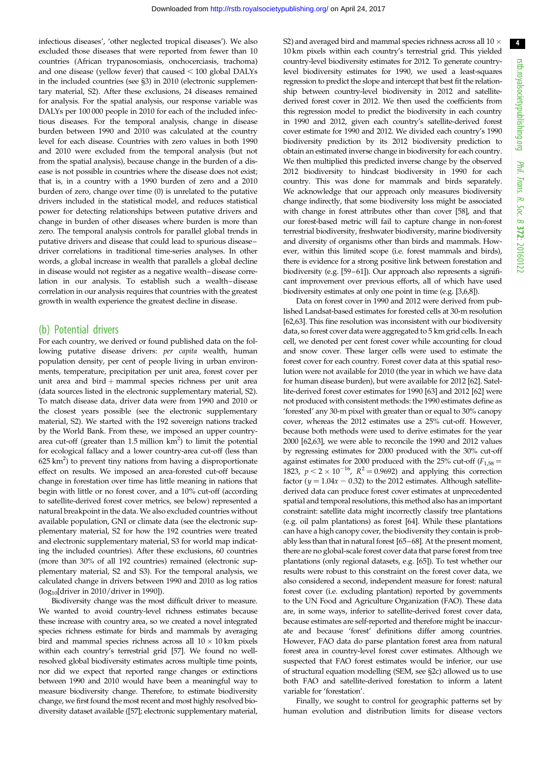infectious diseases', 'other neglected tropical diseases'). We also excluded those diseases that were reported from fewer than 10 countries (African trypanosomiasis, onchocerciasis, trachoma) and one disease (yellow fever) that caused  $< 100$  global DALYs in the included countries (see §3) in 2010 (electronic supplementary material, S2). After these exclusions, 24 diseases remained for analysis. For the spatial analysis, our response variable was DALYs per 100 000 people in 2010 for each of the included infectious diseases. For the temporal analysis, change in disease burden between 1990 and 2010 was calculated at the country level for each disease. Countries with zero values in both 1990 and 2010 were excluded from the temporal analysis (but not from the spatial analysis), because change in the burden of a disease is not possible in countries where the disease does not exist; that is, in a country with a 1990 burden of zero and a 2010 burden of zero, change over time (0) is unrelated to the putative drivers included in the statistical model, and reduces statistical power for detecting relationships between putative drivers and change in burden of other diseases where burden is more than zero. The temporal analysis controls for parallel global trends in putative drivers and disease that could lead to spurious disease– driver correlations in traditional time-series analyses. In other words, a global increase in wealth that parallels a global decline in disease would not register as a negative wealth–disease correlation in our analysis. To establish such a wealth–disease correlation in our analysis requires that countries with the greatest growth in wealth experience the greatest decline in disease.

#### (b) Potential drivers

For each country, we derived or found published data on the following putative disease drivers: per capita wealth, human population density, per cent of people living in urban environments, temperature, precipitation per unit area, forest cover per unit area and  $bird +$  mammal species richness per unit area (data sources listed in the electronic supplementary material, S2). To match disease data, driver data were from 1990 and 2010 or the closest years possible (see the electronic supplementary material, S2). We started with the 192 sovereign nations tracked by the World Bank. From these, we imposed an upper countryarea cut-off (greater than 1.5 million  $km<sup>2</sup>$ ) to limit the potential for ecological fallacy and a lower country-area cut-off (less than  $625 \text{ km}^2$ ) to prevent tiny nations from having a disproportionate effect on results. We imposed an area-forested cut-off because change in forestation over time has little meaning in nations that begin with little or no forest cover, and a 10% cut-off (according to satellite-derived forest cover metrics, see below) represented a natural breakpoint in the data. We also excluded countries without available population, GNI or climate data (see the electronic supplementary material, S2 for how the 192 countries were treated and electronic supplementary material, S3 for world map indicating the included countries). After these exclusions, 60 countries (more than 30% of all 192 countries) remained (electronic supplementary material, S2 and S3). For the temporal analysis, we calculated change in drivers between 1990 and 2010 as log ratios (log10[driver in 2010/driver in 1990]).

Biodiversity change was the most difficult driver to measure. We wanted to avoid country-level richness estimates because these increase with country area, so we created a novel integrated species richness estimate for birds and mammals by averaging bird and mammal species richness across all  $10 \times 10\,\mathrm{km}$  pixels within each country's terrestrial grid [\[57](#page-13-0)]. We found no wellresolved global biodiversity estimates across multiple time points, nor did we expect that reported range changes or extinctions between 1990 and 2010 would have been a meaningful way to measure biodiversity change. Therefore, to estimate biodiversity change, we first found the most recent and most highly resolved biodiversity dataset available ([[57\]](#page-13-0); electronic supplementary material,

S2) and averaged bird and mammal species richness across all 10  $\times$ 10 km pixels within each country's terrestrial grid. This yielded country-level biodiversity estimates for 2012. To generate countrylevel biodiversity estimates for 1990, we used a least-squares regression to predict the slope and intercept that best fit the relationship between country-level biodiversity in 2012 and satellitederived forest cover in 2012. We then used the coefficients from this regression model to predict the biodiversity in each country in 1990 and 2012, given each country's satellite-derived forest cover estimate for 1990 and 2012. We divided each country's 1990 biodiversity prediction by its 2012 biodiversity prediction to obtain an estimated inverse change in biodiversity for each country. We then multiplied this predicted inverse change by the observed 2012 biodiversity to hindcast biodiversity in 1990 for each country. This was done for mammals and birds separately. We acknowledge that our approach only measures biodiversity change indirectly, that some biodiversity loss might be associated with change in forest attributes other than cover [\[58](#page-13-0)], and that our forest-based metric will fail to capture change in non-forest terrestrial biodiversity, freshwater biodiversity, marine biodiversity and diversity of organisms other than birds and mammals. However, within this limited scope (i.e. forest mammals and birds), there is evidence for a strong positive link between forestation and biodiversity (e.g. [\[59](#page-13-0)–[61](#page-13-0)]). Our approach also represents a significant improvement over previous efforts, all of which have used biodiversity estimates at only one point in time (e.g. [\[3,6](#page-12-0),[8\]](#page-12-0)).

Data on forest cover in 1990 and 2012 were derived from published Landsat-based estimates for forested cells at 30-m resolution [\[62,63](#page-13-0)]. This fine resolution was inconsistent with our biodiversity data, so forest cover data were aggregated to 5 km grid cells. In each cell, we denoted per cent forest cover while accounting for cloud and snow cover. These larger cells were used to estimate the forest cover for each country. Forest cover data at this spatial resolution were not available for 2010 (the year in which we have data for human disease burden), but were available for 2012 [[62\]](#page-13-0). Satellite-derived forest cover estimates for 1990 [\[63\]](#page-13-0) and 2012 [[62](#page-13-0)] were not produced with consistent methods: the 1990 estimates define as 'forested' any 30-m pixel with greater than or equal to 30% canopy cover, whereas the 2012 estimates use a 25% cut-off. However, because both methods were used to derive estimates for the year 2000 [\[62,63\]](#page-13-0), we were able to reconcile the 1990 and 2012 values by regressing estimates for 2000 produced with the 30% cut-off against estimates for 2000 produced with the 25% cut-off  $(F_{1.58} =$ 1823,  $p < 2 \times 10^{-16}$ ,  $R^2 = 0.9692$ ) and applying this correction factor ( $y = 1.04x - 0.32$ ) to the 2012 estimates. Although satellitederived data can produce forest cover estimates at unprecedented spatial and temporal resolutions, this method also has an important constraint: satellite data might incorrectly classify tree plantations (e.g. oil palm plantations) as forest [[64](#page-13-0)]. While these plantations can have a high canopy cover, the biodiversity they contain is probably less than that in natural forest [[65](#page-13-0)–[68](#page-13-0)]. At the present moment, there are no global-scale forest cover data that parse forest from tree plantations (only regional datasets, e.g. [\[65\]](#page-13-0)). To test whether our results were robust to this constraint on the forest cover data, we also considered a second, independent measure for forest: natural forest cover (i.e. excluding plantation) reported by governments to the UN Food and Agriculture Organization (FAO). These data are, in some ways, inferior to satellite-derived forest cover data, because estimates are self-reported and therefore might be inaccurate and because 'forest' definitions differ among countries. However, FAO data do parse plantation forest area from natural forest area in country-level forest cover estimates. Although we suspected that FAO forest estimates would be inferior, our use of structural equation modelling (SEM, see §2c) allowed us to use both FAO and satellite-derived forestation to inform a latent variable for 'forestation'.

Finally, we sought to control for geographic patterns set by human evolution and distribution limits for disease vectors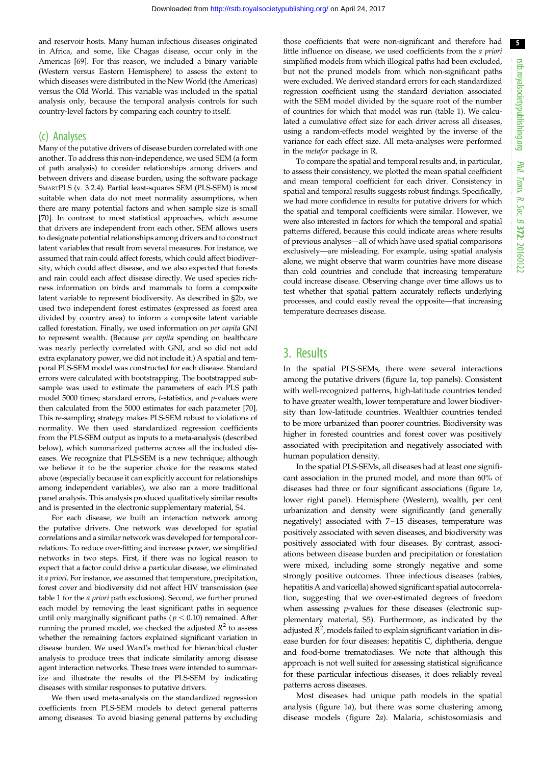and reservoir hosts. Many human infectious diseases originated in Africa, and some, like Chagas disease, occur only in the Americas [\[69\]](#page-13-0). For this reason, we included a binary variable (Western versus Eastern Hemisphere) to assess the extent to which diseases were distributed in the New World (the Americas) versus the Old World. This variable was included in the spatial analysis only, because the temporal analysis controls for such country-level factors by comparing each country to itself.

#### (c) Analyses

Many of the putative drivers of disease burden correlated with one another. To address this non-independence, we used SEM (a form of path analysis) to consider relationships among drivers and between drivers and disease burden, using the software package SMARTPLS (v. 3.2.4). Partial least-squares SEM (PLS-SEM) is most suitable when data do not meet normality assumptions, when there are many potential factors and when sample size is small [\[70\]](#page-13-0). In contrast to most statistical approaches, which assume that drivers are independent from each other, SEM allows users to designate potential relationships among drivers and to construct latent variables that result from several measures. For instance, we assumed that rain could affect forests, which could affect biodiversity, which could affect disease, and we also expected that forests and rain could each affect disease directly. We used species richness information on birds and mammals to form a composite latent variable to represent biodiversity. As described in §2b, we used two independent forest estimates (expressed as forest area divided by country area) to inform a composite latent variable called forestation. Finally, we used information on per capita GNI to represent wealth. (Because per capita spending on healthcare was nearly perfectly correlated with GNI, and so did not add extra explanatory power, we did not include it.) A spatial and temporal PLS-SEM model was constructed for each disease. Standard errors were calculated with bootstrapping. The bootstrapped subsample was used to estimate the parameters of each PLS path model 5000 times; standard errors, t-statistics, and p-values were then calculated from the 5000 estimates for each parameter [\[70\]](#page-13-0). This re-sampling strategy makes PLS-SEM robust to violations of normality. We then used standardized regression coefficients from the PLS-SEM output as inputs to a meta-analysis (described below), which summarized patterns across all the included diseases. We recognize that PLS-SEM is a new technique; although we believe it to be the superior choice for the reasons stated above (especially because it can explicitly account for relationships among independent variables), we also ran a more traditional panel analysis. This analysis produced qualitatively similar results and is presented in the electronic supplementary material, S4.

For each disease, we built an interaction network among the putative drivers. One network was developed for spatial correlations and a similar network was developed for temporal correlations. To reduce over-fitting and increase power, we simplified networks in two steps. First, if there was no logical reason to expect that a factor could drive a particular disease, we eliminated it a priori. For instance, we assumed that temperature, precipitation, forest cover and biodiversity did not affect HIV transmission (see [table 1](#page-5-0) for the *a priori* path exclusions). Second, we further pruned each model by removing the least significant paths in sequence until only marginally significant paths ( $p < 0.10$ ) remained. After running the pruned model, we checked the adjusted  $R^2$  to assess whether the remaining factors explained significant variation in disease burden. We used Ward's method for hierarchical cluster analysis to produce trees that indicate similarity among disease agent interaction networks. These trees were intended to summarize and illustrate the results of the PLS-SEM by indicating diseases with similar responses to putative drivers.

We then used meta-analysis on the standardized regression coefficients from PLS-SEM models to detect general patterns among diseases. To avoid biasing general patterns by excluding those coefficients that were non-significant and therefore had little influence on disease, we used coefficients from the a priori simplified models from which illogical paths had been excluded, but not the pruned models from which non-significant paths were excluded. We derived standard errors for each standardized regression coefficient using the standard deviation associated with the SEM model divided by the square root of the number of countries for which that model was run ([table 1](#page-5-0)). We calculated a cumulative effect size for each driver across all diseases, using a random-effects model weighted by the inverse of the variance for each effect size. All meta-analyses were performed in the metafor package in R.

To compare the spatial and temporal results and, in particular, to assess their consistency, we plotted the mean spatial coefficient and mean temporal coefficient for each driver. Consistency in spatial and temporal results suggests robust findings. Specifically, we had more confidence in results for putative drivers for which the spatial and temporal coefficients were similar. However, we were also interested in factors for which the temporal and spatial patterns differed, because this could indicate areas where results of previous analyses—all of which have used spatial comparisons exclusively—are misleading. For example, using spatial analysis alone, we might observe that warm countries have more disease than cold countries and conclude that increasing temperature could increase disease. Observing change over time allows us to test whether that spatial pattern accurately reflects underlying processes, and could easily reveal the opposite—that increasing temperature decreases disease.

#### 3. Results

In the spatial PLS-SEMs, there were several interactions among the putative drivers [\(figure 1](#page-6-0)a, top panels). Consistent with well-recognized patterns, high-latitude countries tended to have greater wealth, lower temperature and lower biodiversity than low-latitude countries. Wealthier countries tended to be more urbanized than poorer countries. Biodiversity was higher in forested countries and forest cover was positively associated with precipitation and negatively associated with human population density.

In the spatial PLS-SEMs, all diseases had at least one significant association in the pruned model, and more than 60% of diseases had three or four significant associations [\(figure 1](#page-6-0)a, lower right panel). Hemisphere (Western), wealth, per cent urbanization and density were significantly (and generally negatively) associated with 7–15 diseases, temperature was positively associated with seven diseases, and biodiversity was positively associated with four diseases. By contrast, associations between disease burden and precipitation or forestation were mixed, including some strongly negative and some strongly positive outcomes. Three infectious diseases (rabies, hepatitis A and varicella) showed significant spatial autocorrelation, suggesting that we over-estimated degrees of freedom when assessing *p*-values for these diseases (electronic supplementary material, S5). Furthermore, as indicated by the adjusted  $R^2$ , models failed to explain significant variation in disease burden for four diseases: hepatitis C, diphtheria, dengue and food-borne trematodiases. We note that although this approach is not well suited for assessing statistical significance for these particular infectious diseases, it does reliably reveal patterns across diseases.

Most diseases had unique path models in the spatial analysis [\(figure 1](#page-6-0)a), but there was some clustering among disease models ([figure 2](#page-7-0)a). Malaria, schistosomiasis and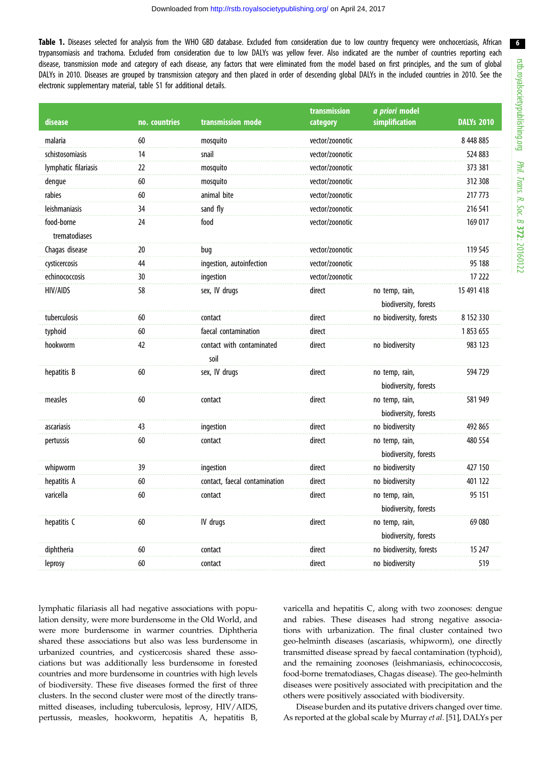<span id="page-5-0"></span>Table 1. Diseases selected for analysis from the WHO GBD database. Excluded from consideration due to low country frequency were onchocerciasis, African trypansomiasis and trachoma. Excluded from consideration due to low DALYs was yellow fever. Also indicated are the number of countries reporting each disease, transmission mode and category of each disease, any factors that were eliminated from the model based on first principles, and the sum of global DALYs in 2010. Diseases are grouped by transmission category and then placed in order of descending global DALYs in the included countries in 2010. See the electronic supplementary material, table S1 for additional details.

| disease                     | no. countries | transmission mode                 | transmission<br>category | a priori model<br>simplification        | <b>DALYs 2010</b> |
|-----------------------------|---------------|-----------------------------------|--------------------------|-----------------------------------------|-------------------|
| malaria                     | 60            | mosquito                          | vector/zoonotic          |                                         | 8 448 885         |
| schistosomiasis             | 14            | snail                             | vector/zoonotic          |                                         | 524 883           |
| lymphatic filariasis        | 22            | mosquito                          | vector/zoonotic          |                                         | 373 381           |
| dengue                      | 60            | mosquito                          | vector/zoonotic          |                                         | 312 308           |
| rabies                      | 60            | animal bite                       | vector/zoonotic          |                                         | 217 773           |
| leishmaniasis               | 34            | sand fly                          | vector/zoonotic          |                                         | 216 541           |
| food-borne<br>trematodiases | 24            | food                              | vector/zoonotic          |                                         | 169 017           |
| Chagas disease              | 20            | buq                               | vector/zoonotic          |                                         | 119 545           |
| cysticercosis               | 44            | ingestion, autoinfection          | vector/zoonotic          |                                         | 95 188            |
| echinococcosis              | 30            | ingestion                         | vector/zoonotic          |                                         | 17 222            |
| <b>HIV/AIDS</b>             | 58            | sex, IV drugs                     | direct                   | no temp, rain,<br>biodiversity, forests | 15 491 418        |
| tuberculosis                | 60            | contact                           | direct                   | no biodiversity, forests                | 8 152 330         |
| typhoid                     | 60            | faecal contamination              | direct                   |                                         | 1853 655          |
| hookworm                    | 42            | contact with contaminated<br>soil | direct                   | no biodiversity                         | 983 123           |
| hepatitis B                 | 60            | sex, IV drugs                     | direct                   | no temp, rain,<br>biodiversity, forests | 594729            |
| measles                     | 60            | contact                           | direct                   | no temp, rain,<br>biodiversity, forests | 581 949           |
| ascariasis                  | 43            | ingestion                         | direct                   | no biodiversity                         | 492 865           |
| pertussis                   | 60            | contact                           | direct                   | no temp, rain,<br>biodiversity, forests | 480 554           |
| whipworm                    | 39            | ingestion                         | direct                   | no biodiversity                         | 427 150           |
| hepatitis A                 | 60            | contact, faecal contamination     | direct                   | no biodiversity                         | 401 122           |
| varicella                   | 60            | contact                           | direct                   | no temp, rain,<br>biodiversity, forests | 95 151            |
| hepatitis C                 | 60            | IV drugs                          | direct                   | no temp, rain,<br>biodiversity, forests | 69 080            |
| diphtheria                  | 60            | contact                           | direct                   | no biodiversity, forests                | 15 247            |
| leprosy                     | 60            | contact                           | direct                   | no biodiversity                         | 519               |
|                             |               |                                   |                          |                                         |                   |

lymphatic filariasis all had negative associations with population density, were more burdensome in the Old World, and were more burdensome in warmer countries. Diphtheria shared these associations but also was less burdensome in urbanized countries, and cysticercosis shared these associations but was additionally less burdensome in forested countries and more burdensome in countries with high levels of biodiversity. These five diseases formed the first of three clusters. In the second cluster were most of the directly transmitted diseases, including tuberculosis, leprosy, HIV/AIDS, pertussis, measles, hookworm, hepatitis A, hepatitis B,

varicella and hepatitis C, along with two zoonoses: dengue and rabies. These diseases had strong negative associations with urbanization. The final cluster contained two geo-helminth diseases (ascariasis, whipworm), one directly transmitted disease spread by faecal contamination (typhoid), and the remaining zoonoses (leishmaniasis, echinococcosis, food-borne trematodiases, Chagas disease). The geo-helminth diseases were positively associated with precipitation and the others were positively associated with biodiversity.

Disease burden and its putative drivers changed over time. As reported at the global scale by Murray et al. [[51\]](#page-13-0), DALYs per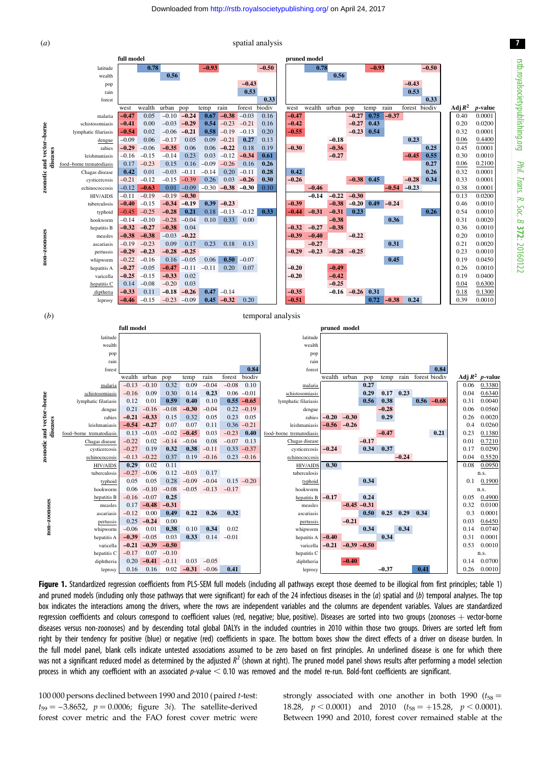spatial analysis

<span id="page-6-0"></span>(*a*)



Figure 1. Standardized regression coefficients from PLS-SEM full models (including all pathways except those deemed to be illogical from first principles; [table 1](#page-5-0)) and pruned models (including only those pathways that were significant) for each of the 24 infectious diseases in the  $(a)$  spatial and  $(b)$  temporal analyses. The top box indicates the interactions among the drivers, where the rows are independent variables and the columns are dependent variables. Values are standardized regression coefficients and colours correspond to coefficient values (red, negative; blue, positive). Diseases are sorted into two groups (zoonoses  $+$  vector-borne diseases versus non-zoonoses) and by descending total global DALYs in the included countries in 2010 within those two groups. Drivers are sorted left from right by their tendency for positive (blue) or negative (red) coefficients in space. The bottom boxes show the direct effects of a driver on disease burden. In the full model panel, blank cells indicate untested associations assumed to be zero based on first principles. An underlined disease is one for which there was not a significant reduced model as determined by the adjusted  $R^2$  (shown at right). The pruned model panel shows results after performing a model selection process in which any coefficient with an associated p-value  $< 0.10$  was removed and the model re-run. Bold-font coefficients are significant.

100 000 persons declined between 1990 and 2010 (paired t-test:  $t_{59} = -3.8652$ ,  $p = 0.0006$ ; [figure 3](#page-8-0)i). The satellite-derived forest cover metric and the FAO forest cover metric were strongly associated with one another in both 1990 ( $t_{58}$  = 18.28,  $p < 0.0001$ ) and 2010  $(t_{58} = +15.28, p < 0.0001)$ . Between 1990 and 2010, forest cover remained stable at the rstb.royalsocietypublishing.org

rstb.royalsocietypublishing.org

Phil. Trans.

 R.Soc. B

372: 20160122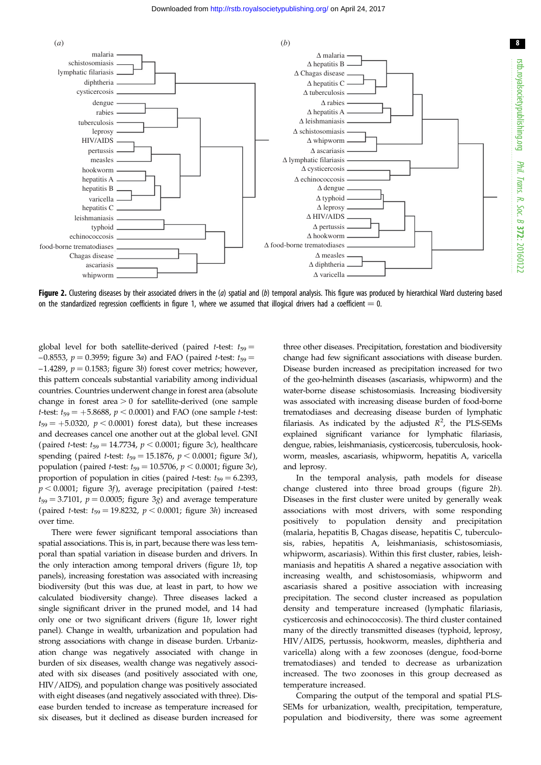<span id="page-7-0"></span>

Figure 2. Clustering diseases by their associated drivers in the (a) spatial and (b) temporal analysis. This figure was produced by hierarchical Ward clustering based on the standardized regression coefficients in [figure 1](#page-6-0), where we assumed that illogical drivers had a coefficient  $= 0$ .

global level for both satellite-derived (paired t-test:  $t_{59} =$ –0.8553,  $p = 0.3959$ ; [figure 3](#page-8-0)a) and FAO (paired t-test:  $t_{59} =$  $-1.4289$ ,  $p = 0.1583$ ; [figure 3](#page-8-0)b) forest cover metrics; however, this pattern conceals substantial variability among individual countries. Countries underwent change in forest area (absolute change in forest area  $> 0$  for satellite-derived (one sample *t*-test:  $t_{59} = +5.8688$ ,  $p < 0.0001$ ) and FAO (one sample *t*-test:  $t_{59} = +5.0320$ ,  $p < 0.0001$ ) forest data), but these increases and decreases cancel one another out at the global level. GNI (paired *t*-test:  $t_{59} = 14.7734$ ,  $p < 0.0001$ ; [figure 3](#page-8-0)c), healthcare spending (paired *t*-test:  $t_{59} = 15.1876$ ,  $p < 0.0001$ ; [figure 3](#page-8-0)d), population (paired *t*-test:  $t_{59} = 10.5706$ ,  $p < 0.0001$ ; [figure 3](#page-8-0)e), proportion of population in cities (paired *t*-test:  $t_{59} = 6.2393$ ,  $p < 0.0001$ ; [figure 3](#page-8-0)f), average precipitation (paired t-test:  $t_{59} = 3.7101$ ,  $p = 0.0005$ ; [figure 3](#page-8-0)g) and average temperature (paired *t*-test:  $t_{59} = 19.8232$ ,  $p < 0.0001$ ; [figure 3](#page-8-0)h) increased over time.

There were fewer significant temporal associations than spatial associations. This is, in part, because there was less temporal than spatial variation in disease burden and drivers. In the only interaction among temporal drivers [\(figure 1](#page-6-0)b, top panels), increasing forestation was associated with increasing biodiversity (but this was due, at least in part, to how we calculated biodiversity change). Three diseases lacked a single significant driver in the pruned model, and 14 had only one or two significant drivers ([figure 1](#page-6-0)b, lower right panel). Change in wealth, urbanization and population had strong associations with change in disease burden. Urbanization change was negatively associated with change in burden of six diseases, wealth change was negatively associated with six diseases (and positively associated with one, HIV/AIDS), and population change was positively associated with eight diseases (and negatively associated with three). Disease burden tended to increase as temperature increased for six diseases, but it declined as disease burden increased for three other diseases. Precipitation, forestation and biodiversity change had few significant associations with disease burden. Disease burden increased as precipitation increased for two of the geo-helminth diseases (ascariasis, whipworm) and the water-borne disease schistosomiasis. Increasing biodiversity was associated with increasing disease burden of food-borne trematodiases and decreasing disease burden of lymphatic filariasis. As indicated by the adjusted  $R^2$ , the PLS-SEMs explained significant variance for lymphatic filariasis, dengue, rabies, leishmaniasis, cysticercosis, tuberculosis, hookworm, measles, ascariasis, whipworm, hepatitis A, varicella and leprosy.

In the temporal analysis, path models for disease change clustered into three broad groups (figure 2b). Diseases in the first cluster were united by generally weak associations with most drivers, with some responding positively to population density and precipitation (malaria, hepatitis B, Chagas disease, hepatitis C, tuberculosis, rabies, hepatitis A, leishmaniasis, schistosomiasis, whipworm, ascariasis). Within this first cluster, rabies, leishmaniasis and hepatitis A shared a negative association with increasing wealth, and schistosomiasis, whipworm and ascariasis shared a positive association with increasing precipitation. The second cluster increased as population density and temperature increased (lymphatic filariasis, cysticercosis and echinococcosis). The third cluster contained many of the directly transmitted diseases (typhoid, leprosy, HIV/AIDS, pertussis, hookworm, measles, diphtheria and varicella) along with a few zoonoses (dengue, food-borne trematodiases) and tended to decrease as urbanization increased. The two zoonoses in this group decreased as temperature increased.

Comparing the output of the temporal and spatial PLS-SEMs for urbanization, wealth, precipitation, temperature, population and biodiversity, there was some agreement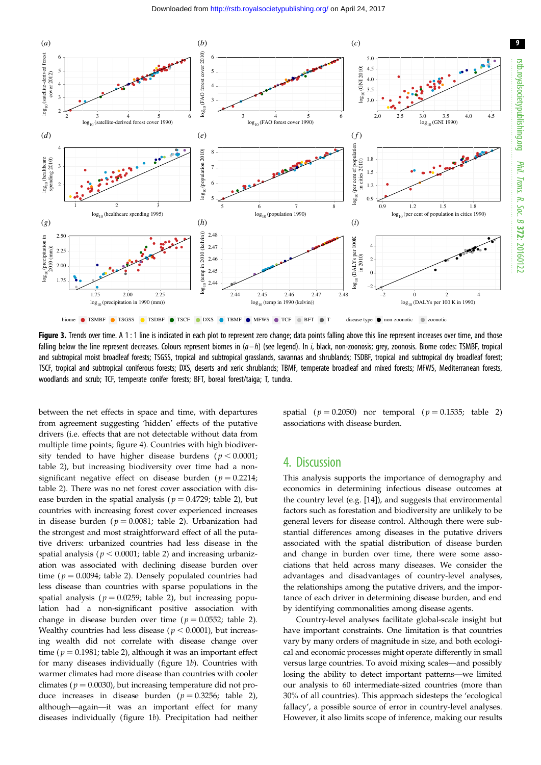<span id="page-8-0"></span>

Figure 3. Trends over time. A 1:1 line is indicated in each plot to represent zero change; data points falling above this line represent increases over time, and those falling below the line represent decreases. Colours represent biomes in  $(a-h)$  (see legend). In i, black, non-zoonosis; grey, zoonosis. Biome codes: TSMBF, tropical and subtropical moist broadleaf forests; TSGSS, tropical and subtropical grasslands, savannas and shrublands; TSDBF, tropical and subtropical dry broadleaf forest; TSCF, tropical and subtropical coniferous forests; DXS, deserts and xeric shrublands; TBMF, temperate broadleaf and mixed forests; MFWS, Mediterranean forests, woodlands and scrub; TCF, temperate conifer forests; BFT, boreal forest/taiga; T, tundra.

between the net effects in space and time, with departures from agreement suggesting 'hidden' effects of the putative drivers (i.e. effects that are not detectable without data from multiple time points; [figure 4](#page-9-0)). Countries with high biodiversity tended to have higher disease burdens ( $p < 0.0001$ ; [table 2\)](#page-9-0), but increasing biodiversity over time had a nonsignificant negative effect on disease burden ( $p = 0.2214$ ; [table 2\)](#page-9-0). There was no net forest cover association with disease burden in the spatial analysis ( $p = 0.4729$ ; [table 2\)](#page-9-0), but countries with increasing forest cover experienced increases in disease burden ( $p = 0.0081$ ; [table 2\)](#page-9-0). Urbanization had the strongest and most straightforward effect of all the putative drivers: urbanized countries had less disease in the spatial analysis ( $p < 0.0001$ ; [table 2](#page-9-0)) and increasing urbanization was associated with declining disease burden over time ( $p = 0.0094$ ; [table 2](#page-9-0)). Densely populated countries had less disease than countries with sparse populations in the spatial analysis ( $p = 0.0259$ ; [table 2](#page-9-0)), but increasing population had a non-significant positive association with change in disease burden over time ( $p = 0.0552$ ; [table 2](#page-9-0)). Wealthy countries had less disease ( $p < 0.0001$ ), but increasing wealth did not correlate with disease change over time ( $p = 0.1981$ ; [table 2\)](#page-9-0), although it was an important effect for many diseases individually ([figure 1](#page-6-0)b). Countries with warmer climates had more disease than countries with cooler climates ( $p = 0.0030$ ), but increasing temperature did not produce increases in disease burden ( $p = 0.3256$ ; [table 2](#page-9-0)), although—again—it was an important effect for many diseases individually [\(figure 1](#page-6-0)b). Precipitation had neither spatial ( $p = 0.2050$ ) nor temporal ( $p = 0.1535$ ; [table 2\)](#page-9-0) associations with disease burden.

#### 4. Discussion

This analysis supports the importance of demography and economics in determining infectious disease outcomes at the country level (e.g. [[14\]](#page-12-0)), and suggests that environmental factors such as forestation and biodiversity are unlikely to be general levers for disease control. Although there were substantial differences among diseases in the putative drivers associated with the spatial distribution of disease burden and change in burden over time, there were some associations that held across many diseases. We consider the advantages and disadvantages of country-level analyses, the relationships among the putative drivers, and the importance of each driver in determining disease burden, and end by identifying commonalities among disease agents.

Country-level analyses facilitate global-scale insight but have important constraints. One limitation is that countries vary by many orders of magnitude in size, and both ecological and economic processes might operate differently in small versus large countries. To avoid mixing scales—and possibly losing the ability to detect important patterns—we limited our analysis to 60 intermediate-sized countries (more than 30% of all countries). This approach sidesteps the 'ecological fallacy', a possible source of error in country-level analyses. However, it also limits scope of inference, making our results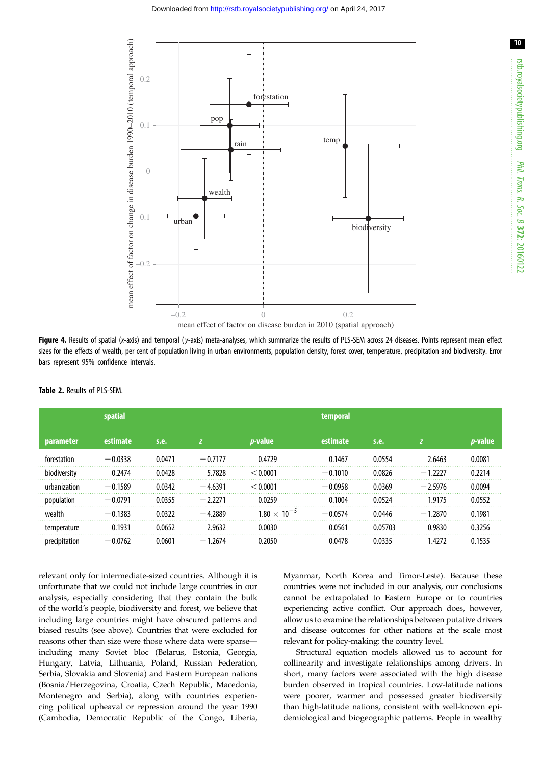<span id="page-9-0"></span>

Figure 4. Results of spatial (x-axis) and temporal (y-axis) meta-analyses, which summarize the results of PLS-SEM across 24 diseases. Points represent mean effect sizes for the effects of wealth, per cent of population living in urban environments, population density, forest cover, temperature, precipitation and biodiversity. Error bars represent 95% confidence intervals.

|              | spatial   |        |           |                       | temporal' |         |           |                 |
|--------------|-----------|--------|-----------|-----------------------|-----------|---------|-----------|-----------------|
| parameter'   | estimate  | s.e.   |           | <i>p</i> -value       | estimate' | s.e.    |           | <i>p</i> -value |
| torestation  | $-0.0338$ | 0.0471 | $-0.7177$ | 0.4729                | 0.1467    | በ በ554  | 2.6463    | 0.0081          |
| biodiversity | በ 2474    | 0.0428 | 5.7828    | $<$ በ በበበ1            | $-0.1010$ | 0.0826  | $-1.2227$ |                 |
| hanization   | $-0.1589$ | 0.0342 | - 4.6391  | $<$ በ በበበ1            | በ በዓ5ጸ    | 0.0369  | $-2.5976$ | በ በበ94          |
| population   | 0791 ۱    | 0.0355 | $-22271$  | በ በንናዓ                | 0.1004    | በ በ524  | 1.9175    | በ በ552          |
| wealth       | $-0.1383$ | 0.0322 | $-4.2889$ | $1.80 \times 10^{-5}$ | $-0.0574$ | 0.0446  | $-1.2870$ | 0.1981          |
| temperature  | 0 1931    | 0.0652 | 2.9632    | 0.0030                | 0.0561    | በ በ57በ3 | 0.9830    | በ 3256          |
|              | — 0.0762  | 0.0601 | $-1.2674$ |                       | 0.0478    | 0 0335  | 1.4272    | በ 1535          |

|  |  | <b>Table 2. Results of PLS-SEM.</b> |
|--|--|-------------------------------------|
|--|--|-------------------------------------|

relevant only for intermediate-sized countries. Although it is unfortunate that we could not include large countries in our analysis, especially considering that they contain the bulk of the world's people, biodiversity and forest, we believe that including large countries might have obscured patterns and biased results (see above). Countries that were excluded for reasons other than size were those where data were sparse including many Soviet bloc (Belarus, Estonia, Georgia, Hungary, Latvia, Lithuania, Poland, Russian Federation, Serbia, Slovakia and Slovenia) and Eastern European nations (Bosnia/Herzegovina, Croatia, Czech Republic, Macedonia, Montenegro and Serbia), along with countries experiencing political upheaval or repression around the year 1990 (Cambodia, Democratic Republic of the Congo, Liberia,

Myanmar, North Korea and Timor-Leste). Because these countries were not included in our analysis, our conclusions cannot be extrapolated to Eastern Europe or to countries experiencing active conflict. Our approach does, however, allow us to examine the relationships between putative drivers and disease outcomes for other nations at the scale most relevant for policy-making: the country level.

Structural equation models allowed us to account for collinearity and investigate relationships among drivers. In short, many factors were associated with the high disease burden observed in tropical countries. Low-latitude nations were poorer, warmer and possessed greater biodiversity than high-latitude nations, consistent with well-known epidemiological and biogeographic patterns. People in wealthy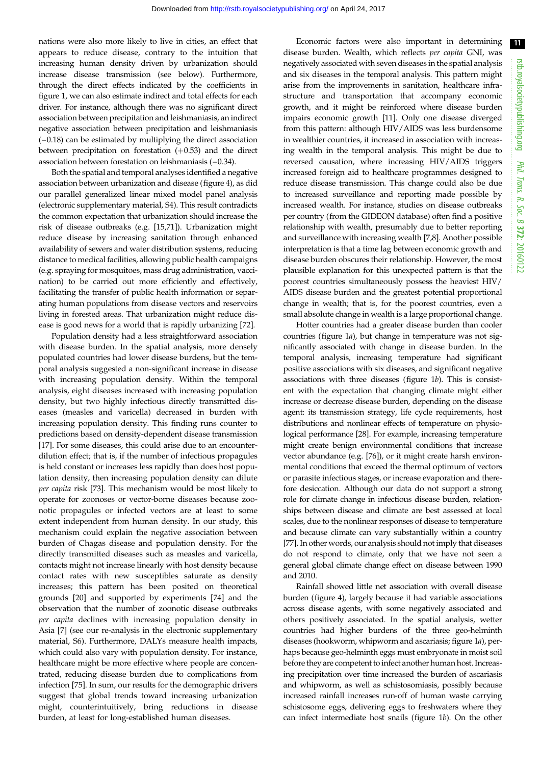nations were also more likely to live in cities, an effect that appears to reduce disease, contrary to the intuition that increasing human density driven by urbanization should increase disease transmission (see below). Furthermore, through the direct effects indicated by the coefficients in [figure 1](#page-6-0), we can also estimate indirect and total effects for each driver. For instance, although there was no significant direct association between precipitation and leishmaniasis, an indirect negative association between precipitation and leishmaniasis (–0.18) can be estimated by multiplying the direct association between precipitation on forestation  $(+0.53)$  and the direct association between forestation on leishmaniasis (–0.34).

Both the spatial and temporal analyses identified a negative association between urbanization and disease [\(figure 4](#page-9-0)), as did our parallel generalized linear mixed model panel analysis (electronic supplementary material, S4). This result contradicts the common expectation that urbanization should increase the risk of disease outbreaks (e.g. [\[15](#page-12-0)[,71](#page-13-0)]). Urbanization might reduce disease by increasing sanitation through enhanced availability of sewers and water distribution systems, reducing distance to medical facilities, allowing public health campaigns (e.g. spraying for mosquitoes, mass drug administration, vaccination) to be carried out more efficiently and effectively, facilitating the transfer of public health information or separating human populations from disease vectors and reservoirs living in forested areas. That urbanization might reduce disease is good news for a world that is rapidly urbanizing [[72\]](#page-13-0).

Population density had a less straightforward association with disease burden. In the spatial analysis, more densely populated countries had lower disease burdens, but the temporal analysis suggested a non-significant increase in disease with increasing population density. Within the temporal analysis, eight diseases increased with increasing population density, but two highly infectious directly transmitted diseases (measles and varicella) decreased in burden with increasing population density. This finding runs counter to predictions based on density-dependent disease transmission [\[17](#page-12-0)]. For some diseases, this could arise due to an encounterdilution effect; that is, if the number of infectious propagules is held constant or increases less rapidly than does host population density, then increasing population density can dilute per capita risk [\[73](#page-13-0)]. This mechanism would be most likely to operate for zoonoses or vector-borne diseases because zoonotic propagules or infected vectors are at least to some extent independent from human density. In our study, this mechanism could explain the negative association between burden of Chagas disease and population density. For the directly transmitted diseases such as measles and varicella, contacts might not increase linearly with host density because contact rates with new susceptibles saturate as density increases; this pattern has been posited on theoretical grounds [[20\]](#page-12-0) and supported by experiments [[74\]](#page-13-0) and the observation that the number of zoonotic disease outbreaks per capita declines with increasing population density in Asia [\[7\]](#page-12-0) (see our re-analysis in the electronic supplementary material, S6). Furthermore, DALYs measure health impacts, which could also vary with population density. For instance, healthcare might be more effective where people are concentrated, reducing disease burden due to complications from infection [[75\]](#page-13-0). In sum, our results for the demographic drivers suggest that global trends toward increasing urbanization might, counterintuitively, bring reductions in disease burden, at least for long-established human diseases.

Economic factors were also important in determining disease burden. Wealth, which reflects per capita GNI, was negatively associated with seven diseases in the spatial analysis and six diseases in the temporal analysis. This pattern might arise from the improvements in sanitation, healthcare infrastructure and transportation that accompany economic growth, and it might be reinforced where disease burden impairs economic growth [[11\]](#page-12-0). Only one disease diverged from this pattern: although HIV/AIDS was less burdensome in wealthier countries, it increased in association with increasing wealth in the temporal analysis. This might be due to reversed causation, where increasing HIV/AIDS triggers increased foreign aid to healthcare programmes designed to reduce disease transmission. This change could also be due to increased surveillance and reporting made possible by increased wealth. For instance, studies on disease outbreaks per country (from the GIDEON database) often find a positive relationship with wealth, presumably due to better reporting and surveillance with increasing wealth [[7](#page-12-0),[8](#page-12-0)]. Another possible interpretation is that a time lag between economic growth and disease burden obscures their relationship. However, the most plausible explanation for this unexpected pattern is that the poorest countries simultaneously possess the heaviest HIV/ AIDS disease burden and the greatest potential proportional change in wealth; that is, for the poorest countries, even a small absolute change in wealth is a large proportional change.

Hotter countries had a greater disease burden than cooler countries [\(figure 1](#page-6-0)a), but change in temperature was not significantly associated with change in disease burden. In the temporal analysis, increasing temperature had significant positive associations with six diseases, and significant negative associations with three diseases ([figure 1](#page-6-0)b). This is consistent with the expectation that changing climate might either increase or decrease disease burden, depending on the disease agent: its transmission strategy, life cycle requirements, host distributions and nonlinear effects of temperature on physiological performance [\[28](#page-12-0)]. For example, increasing temperature might create benign environmental conditions that increase vector abundance (e.g. [[76](#page-13-0)]), or it might create harsh environmental conditions that exceed the thermal optimum of vectors or parasite infectious stages, or increase evaporation and therefore desiccation. Although our data do not support a strong role for climate change in infectious disease burden, relationships between disease and climate are best assessed at local scales, due to the nonlinear responses of disease to temperature and because climate can vary substantially within a country [[77](#page-13-0)]. In other words, our analysis should not imply that diseases do not respond to climate, only that we have not seen a general global climate change effect on disease between 1990 and 2010.

Rainfall showed little net association with overall disease burden ([figure 4](#page-9-0)), largely because it had variable associations across disease agents, with some negatively associated and others positively associated. In the spatial analysis, wetter countries had higher burdens of the three geo-helminth diseases (hookworm, whipworm and ascariasis; [figure 1](#page-6-0)a), perhaps because geo-helminth eggs must embryonate in moist soil before they are competent to infect another human host. Increasing precipitation over time increased the burden of ascariasis and whipworm, as well as schistosomiasis, possibly because increased rainfall increases run-off of human waste carrying schistosome eggs, delivering eggs to freshwaters where they can infect intermediate host snails ([figure 1](#page-6-0)b). On the other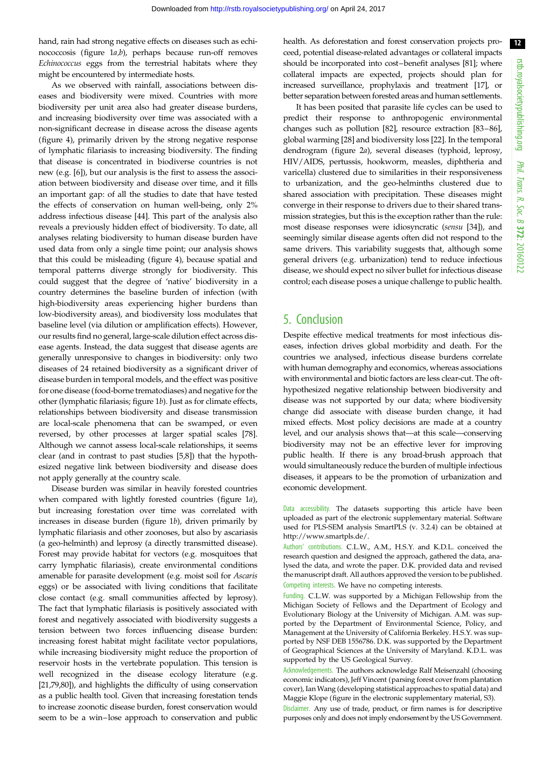hand, rain had strong negative effects on diseases such as echinococcosis ([figure 1](#page-6-0)a,b), perhaps because run-off removes Echinococcus eggs from the terrestrial habitats where they might be encountered by intermediate hosts.

As we observed with rainfall, associations between diseases and biodiversity were mixed. Countries with more biodiversity per unit area also had greater disease burdens, and increasing biodiversity over time was associated with a non-significant decrease in disease across the disease agents [\(figure 4](#page-9-0)), primarily driven by the strong negative response of lymphatic filariasis to increasing biodiversity. The finding that disease is concentrated in biodiverse countries is not new (e.g. [[6](#page-12-0)]), but our analysis is the first to assess the association between biodiversity and disease over time, and it fills an important gap: of all the studies to date that have tested the effects of conservation on human well-being, only 2% address infectious disease [[44\]](#page-12-0). This part of the analysis also reveals a previously hidden effect of biodiversity. To date, all analyses relating biodiversity to human disease burden have used data from only a single time point; our analysis shows that this could be misleading ([figure 4](#page-9-0)), because spatial and temporal patterns diverge strongly for biodiversity. This could suggest that the degree of 'native' biodiversity in a country determines the baseline burden of infection (with high-biodiversity areas experiencing higher burdens than low-biodiversity areas), and biodiversity loss modulates that baseline level (via dilution or amplification effects). However, our results find no general, large-scale dilution effect across disease agents. Instead, the data suggest that disease agents are generally unresponsive to changes in biodiversity: only two diseases of 24 retained biodiversity as a significant driver of disease burden in temporal models, and the effect was positive for one disease (food-borne trematodiases) and negative for the other (lymphatic filariasis; [figure 1](#page-6-0)b). Just as for climate effects, relationships between biodiversity and disease transmission are local-scale phenomena that can be swamped, or even reversed, by other processes at larger spatial scales [\[78](#page-13-0)]. Although we cannot assess local-scale relationships, it seems clear (and in contrast to past studies [\[5,8](#page-12-0)]) that the hypothesized negative link between biodiversity and disease does not apply generally at the country scale.

Disease burden was similar in heavily forested countries when compared with lightly forested countries [\(figure 1](#page-6-0)a), but increasing forestation over time was correlated with increases in disease burden [\(figure 1](#page-6-0)b), driven primarily by lymphatic filariasis and other zoonoses, but also by ascariasis (a geo-helminth) and leprosy (a directly transmitted disease). Forest may provide habitat for vectors (e.g. mosquitoes that carry lymphatic filariasis), create environmental conditions amenable for parasite development (e.g. moist soil for Ascaris eggs) or be associated with living conditions that facilitate close contact (e.g. small communities affected by leprosy). The fact that lymphatic filariasis is positively associated with forest and negatively associated with biodiversity suggests a tension between two forces influencing disease burden: increasing forest habitat might facilitate vector populations, while increasing biodiversity might reduce the proportion of reservoir hosts in the vertebrate population. This tension is well recognized in the disease ecology literature (e.g. [\[21](#page-12-0)[,79,80\]](#page-13-0)), and highlights the difficulty of using conservation as a public health tool. Given that increasing forestation tends to increase zoonotic disease burden, forest conservation would seem to be a win–lose approach to conservation and public health. As deforestation and forest conservation projects proceed, potential disease-related advantages or collateral impacts should be incorporated into cost–benefit analyses [\[81\]](#page-13-0); where collateral impacts are expected, projects should plan for increased surveillance, prophylaxis and treatment [[17](#page-12-0)], or better separation between forested areas and human settlements.

It has been posited that parasite life cycles can be used to predict their response to anthropogenic environmental changes such as pollution [\[82](#page-13-0)], resource extraction [[83](#page-13-0)–[86\]](#page-13-0), global warming [\[28](#page-12-0)] and biodiversity loss [\[22](#page-12-0)]. In the temporal dendrogram ([figure 2](#page-7-0)a), several diseases (typhoid, leprosy, HIV/AIDS, pertussis, hookworm, measles, diphtheria and varicella) clustered due to similarities in their responsiveness to urbanization, and the geo-helminths clustered due to shared association with precipitation. These diseases might converge in their response to drivers due to their shared transmission strategies, but this is the exception rather than the rule: most disease responses were idiosyncratic (sensu [[34\]](#page-12-0)), and seemingly similar disease agents often did not respond to the same drivers. This variability suggests that, although some general drivers (e.g. urbanization) tend to reduce infectious disease, we should expect no silver bullet for infectious disease control; each disease poses a unique challenge to public health.

# 5. Conclusion

Despite effective medical treatments for most infectious diseases, infection drives global morbidity and death. For the countries we analysed, infectious disease burdens correlate with human demography and economics, whereas associations with environmental and biotic factors are less clear-cut. The ofthypothesized negative relationship between biodiversity and disease was not supported by our data; where biodiversity change did associate with disease burden change, it had mixed effects. Most policy decisions are made at a country level, and our analysis shows that—at this scale—conserving biodiversity may not be an effective lever for improving public health. If there is any broad-brush approach that would simultaneously reduce the burden of multiple infectious diseases, it appears to be the promotion of urbanization and economic development.

Data accessibility. The datasets supporting this article have been uploaded as part of the electronic supplementary material. Software used for PLS-SEM analysis SmartPLS (v. 3.2.4) can be obtained at <http://www.smartpls.de/>.

Authors' contributions. C.L.W., A.M., H.S.Y. and K.D.L. conceived the research question and designed the approach, gathered the data, analysed the data, and wrote the paper. D.K. provided data and revised the manuscript draft. All authors approved the version to be published. Competing interests. We have no competing interests.

Funding. C.L.W. was supported by a Michigan Fellowship from the Michigan Society of Fellows and the Department of Ecology and Evolutionary Biology at the University of Michigan. A.M. was supported by the Department of Environmental Science, Policy, and Management at the University of California Berkeley. H.S.Y. was supported by NSF DEB 1556786. D.K. was supported by the Department of Geographical Sciences at the University of Maryland. K.D.L. was supported by the US Geological Survey.

Acknowledgements. The authors acknowledge Ralf Meisenzahl (choosing economic indicators), Jeff Vincent (parsing forest cover from plantation cover), Ian Wang (developing statistical approaches to spatial data) and Maggie Klope (figure in the electronic supplementary material, S3).

Disclaimer. Any use of trade, product, or firm names is for descriptive purposes only and does not imply endorsement by the US Government.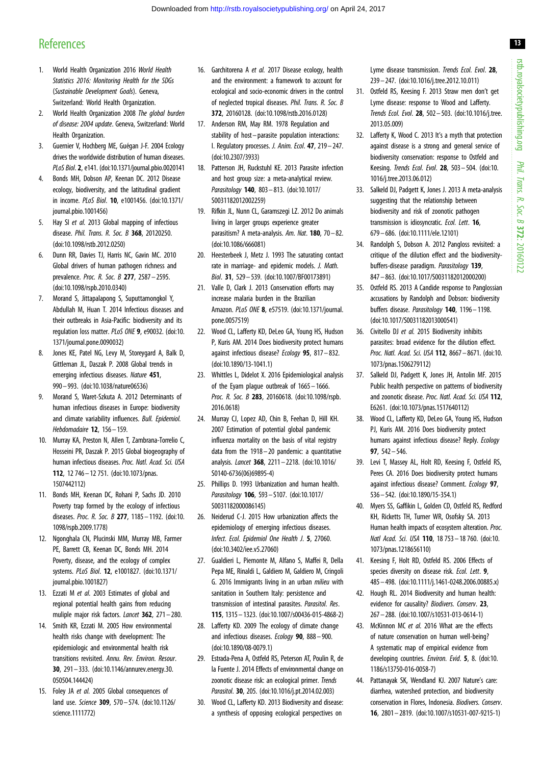# <span id="page-12-0"></span>**References**

- 1. World Health Organization 2016 World Health Statistics 2016: Monitoring Health for the SDGs (Sustainable Development Goals). Geneva, Switzerland: World Health Organization.
- 2. World Health Organization 2008 The global burden of disease: 2004 update. Geneva, Switzerland: World Health Organization.
- 3. Guernier V, Hochberg ME, Guégan J-F. 2004 Ecology drives the worldwide distribution of human diseases. PLoS Biol. 2, e141. ([doi:10.1371/journal.pbio.0020141](http://dx.doi.org/10.1371/journal.pbio.0020141)
- 4. Bonds MH, Dobson AP, Keenan DC. 2012 Disease ecology, biodiversity, and the latitudinal gradient in income. PLoS Biol. 10, e1001456. [\(doi:10.1371/](http://dx.doi.org/10.1371/journal.pbio.1001456) [journal.pbio.1001456](http://dx.doi.org/10.1371/journal.pbio.1001456))
- 5. Hay SI et al. 2013 Global mapping of infectious disease. Phil. Trans. R. Soc. B 368, 20120250. [\(doi:10.1098/rstb.2012.0250\)](http://dx.doi.org/10.1098/rstb.2012.0250)
- 6. Dunn RR, Davies TJ, Harris NC, Gavin MC. 2010 Global drivers of human pathogen richness and prevalence. Proc. R. Soc. B 277, 2587 – 2595. [\(doi:10.1098/rspb.2010.0340](http://dx.doi.org/10.1098/rspb.2010.0340))
- 7. Morand S, Jittapalapong S, Suputtamongkol Y, Abdullah M, Huan T. 2014 Infectious diseases and their outbreaks in Asia-Pacific: biodiversity and its regulation loss matter. PLoS ONE 9, e90032. ([doi:10.](http://dx.doi.org/10.1371/journal.pone.0090032) [1371/journal.pone.0090032\)](http://dx.doi.org/10.1371/journal.pone.0090032)
- 8. Jones KE, Patel NG, Levy M, Storeygard A, Balk D, Gittleman JL, Daszak P. 2008 Global trends in emerging infectious diseases. Nature 451, 990– 993. ([doi:10.1038/nature06536](http://dx.doi.org/10.1038/nature06536))
- 9. Morand S, Waret-Szkuta A. 2012 Determinants of human infectious diseases in Europe: biodiversity and climate variability influences. Bull. Epidemiol. Hebdomadaire 12, 156– 159.
- 10. Murray KA, Preston N, Allen T, Zambrana-Torrelio C, Hosseini PR, Daszak P. 2015 Global biogeography of human infectious diseases. Proc. Natl. Acad. Sci. USA 112, 12 746– 12 751. ([doi:10.1073/pnas.](http://dx.doi.org/10.1073/pnas.1507442112) [1507442112\)](http://dx.doi.org/10.1073/pnas.1507442112)
- 11. Bonds MH, Keenan DC, Rohani P, Sachs JD. 2010 Poverty trap formed by the ecology of infectious diseases. Proc. R. Soc. B 277, 1185– 1192. ([doi:10.](http://dx.doi.org/10.1098/rspb.2009.1778) [1098/rspb.2009.1778](http://dx.doi.org/10.1098/rspb.2009.1778))
- 12. Ngonghala CN, Plucinski MM, Murray MB, Farmer PE, Barrett CB, Keenan DC, Bonds MH. 2014 Poverty, disease, and the ecology of complex systems. PLoS Biol. 12, e1001827. [\(doi:10.1371/](http://dx.doi.org/10.1371/journal.pbio.1001827) [journal.pbio.1001827](http://dx.doi.org/10.1371/journal.pbio.1001827))
- 13. Ezzati M et al. 2003 Estimates of global and regional potential health gains from reducing muliple major risk factors. Lancet 362, 271 – 280.
- 14. Smith KR, Ezzati M. 2005 How environmental health risks change with development: The epidemiologic and environmental health risk transitions revisited. Annu. Rev. Environ. Resour. 30, 291– 333. ([doi:10.1146/annurev.energy.30.](http://dx.doi.org/10.1146/annurev.energy.30.050504.144424) [050504.144424](http://dx.doi.org/10.1146/annurev.energy.30.050504.144424))
- 15. Foley JA et al. 2005 Global consequences of land use. Science 309, 570 – 574. ([doi:10.1126/](http://dx.doi.org/10.1126/science.1111772) [science.1111772\)](http://dx.doi.org/10.1126/science.1111772)
- 16. Garchitorena A et al. 2017 Disease ecology, health and the environment: a framework to account for ecological and socio-economic drivers in the control of neglected tropical diseases. Phil. Trans. R. Soc. B 372, 20160128. ([doi:10.1098/rstb.2016.0128\)](http://dx.doi.org/10.1098/rstb.2016.0128)
- 17. Anderson RM, May RM. 1978 Regulation and stability of host–parasite population interactions: I. Regulatory processes. J. Anim. Ecol. 47, 219– 247. [\(doi:10.2307/3933](http://dx.doi.org/10.2307/3933))
- 18. Patterson JH, Ruckstuhl KE. 2013 Parasite infection and host group size: a meta-analytical review. Parasitology 140, 803– 813. [\(doi:10.1017/](http://dx.doi.org/10.1017/S0031182012002259) [S0031182012002259](http://dx.doi.org/10.1017/S0031182012002259))
- 19. Rifkin JL, Nunn CL, Garamszegi LZ. 2012 Do animals living in larger groups experience greater parasitism? A meta-analysis. Am. Nat. 180, 70 - 82. [\(doi:10.1086/666081\)](http://dx.doi.org/10.1086/666081)
- 20. Heesterbeek J, Metz J. 1993 The saturating contact rate in marriage- and epidemic models. J. Math. Biol. 31, 529 – 539. [\(doi:10.1007/BF00173891\)](http://dx.doi.org/10.1007/BF00173891)
- 21. Valle D, Clark J. 2013 Conservation efforts may increase malaria burden in the Brazilian Amazon. PLoS ONE 8, e57519. ([doi:10.1371/journal.](http://dx.doi.org/10.1371/journal.pone.0057519) [pone.0057519\)](http://dx.doi.org/10.1371/journal.pone.0057519)
- 22. Wood CL, Lafferty KD, DeLeo GA, Young HS, Hudson P, Kuris AM. 2014 Does biodiversity protect humans against infectious disease? Ecology 95, 817-832. [\(doi:10.1890/13-1041.1](http://dx.doi.org/10.1890/13-1041.1))
- 23. Whittles L, Didelot X. 2016 Epidemiological analysis of the Eyam plague outbreak of 1665– 1666. Proc. R. Soc. B 283, 20160618. [\(doi:10.1098/rspb.](http://dx.doi.org/10.1098/rspb.2016.0618) [2016.0618\)](http://dx.doi.org/10.1098/rspb.2016.0618)
- 24. Murray CJ, Lopez AD, Chin B, Feehan D, Hill KH. 2007 Estimation of potential global pandemic influenza mortality on the basis of vital registry data from the 1918 – 20 pandemic: a quantitative analysis. Lancet 368, 2211– 2218. [\(doi:10.1016/](http://dx.doi.org/10.1016/S0140-6736(06)69895-4) [S0140-6736\(06\)69895-4](http://dx.doi.org/10.1016/S0140-6736(06)69895-4))
- 25. Phillips D. 1993 Urbanization and human health. Parasitology 106, S93– S107. [\(doi:10.1017/](http://dx.doi.org/10.1017/S0031182000086145) [S0031182000086145](http://dx.doi.org/10.1017/S0031182000086145))
- 26. Neiderud C-J. 2015 How urbanization affects the epidemiology of emerging infectious diseases. Infect. Ecol. Epidemiol One Health J. 5, 27060. [\(doi:10.3402/iee.v5.27060](http://dx.doi.org/10.3402/iee.v5.27060))
- 27. Gualdieri L, Piemonte M, Alfano S, Maffei R, Della Pepa ME, Rinaldi L, Galdiero M, Galdiero M, Cringoli G. 2016 Immigrants living in an urban milieu with sanitation in Southern Italy: persistence and transmission of intestinal parasites. Parasitol. Res. 115, 1315– 1323. [\(doi:10.1007/s00436-015-4868-2\)](http://dx.doi.org/10.1007/s00436-015-4868-2)
- 28. Lafferty KD. 2009 The ecology of climate change and infectious diseases. Ecology 90, 888-900. [\(doi:10.1890/08-0079.1](http://dx.doi.org/10.1890/08-0079.1))
- 29. Estrada-Pena A, Ostfeld RS, Peterson AT, Poulin R, de la Fuente J. 2014 Effects of environmental change on zoonotic disease risk: an ecological primer. Trends Parasitol. 30, 205. ([doi:10.1016/j.pt.2014.02.003\)](http://dx.doi.org/10.1016/j.pt.2014.02.003)
- 30. Wood CL, Lafferty KD. 2013 Biodiversity and disease: a synthesis of opposing ecological perspectives on

Lyme disease transmission. Trends Ecol. Evol. 28, 239– 247. [\(doi:10.1016/j.tree.2012.10.011](http://dx.doi.org/10.1016/j.tree.2012.10.011))

- 31. Ostfeld RS, Keesing F. 2013 Straw men don't get Lyme disease: response to Wood and Lafferty. Trends Ecol. Evol. 28, 502– 503. ([doi:10.1016/j.tree.](http://dx.doi.org/10.1016/j.tree.2013.05.009) [2013.05.009](http://dx.doi.org/10.1016/j.tree.2013.05.009))
- 32. Lafferty K, Wood C. 2013 It's a myth that protection against disease is a strong and general service of biodiversity conservation: response to Ostfeld and Keesing. Trends Ecol. Evol. 28, 503– 504. [\(doi:10.](http://dx.doi.org/10.1016/j.tree.2013.06.012) [1016/j.tree.2013.06.012](http://dx.doi.org/10.1016/j.tree.2013.06.012))
- 33. Salkeld DJ, Padgett K, Jones J. 2013 A meta-analysis suggesting that the relationship between biodiversity and risk of zoonotic pathogen transmission is idiosyncratic. Ecol. Lett. 16, 679– 686. [\(doi:10.1111/ele.12101](http://dx.doi.org/10.1111/ele.12101))
- 34. Randolph S, Dobson A. 2012 Pangloss revisited: a critique of the dilution effect and the biodiversitybuffers-disease paradigm. Parasitology 139. 847– 863. [\(doi:10.1017/S0031182012000200\)](http://dx.doi.org/10.1017/S0031182012000200)
- 35. Ostfeld RS. 2013 A Candide response to Panglossian accusations by Randolph and Dobson: biodiversity buffers disease. Parasitoloav 140, 1196 - 1198. ([doi:10.1017/S0031182013000541\)](http://dx.doi.org/10.1017/S0031182013000541)
- 36. Civitello DJ et al. 2015 Biodiversity inhibits parasites: broad evidence for the dilution effect. Proc. Natl. Acad. Sci. USA 112, 8667– 8671. [\(doi:10.](http://dx.doi.org/10.1073/pnas.1506279112) [1073/pnas.1506279112\)](http://dx.doi.org/10.1073/pnas.1506279112)
- 37. Salkeld DJ, Padgett K, Jones JH, Antolin MF. 2015 Public health perspective on patterns of biodiversity and zoonotic disease. Proc. Natl. Acad. Sci. USA 112, E6261. [\(doi:10.1073/pnas.1517640112](http://dx.doi.org/10.1073/pnas.1517640112))
- 38. Wood CL, Lafferty KD, DeLeo GA, Young HS, Hudson PJ, Kuris AM. 2016 Does biodiversity protect humans against infectious disease? Reply. Ecology 97, 542 – 546.
- 39. Levi T, Massey AL, Holt RD, Keesing F, Ostfeld RS, Peres CA. 2016 Does biodiversity protect humans against infectious disease? Comment. Ecology 97, 536– 542. [\(doi:10.1890/15-354.1](http://dx.doi.org/10.1890/15-354.1))
- 40. Myers SS, Gaffikin L, Golden CD, Ostfeld RS, Redford KH, Ricketts TH, Turner WR, Osofsky SA. 2013 Human health impacts of ecosystem alteration. Proc. Natl Acad. Sci. USA 110, 18 753 – 18 760. [\(doi:10.](http://dx.doi.org/10.1073/pnas.1218656110) [1073/pnas.1218656110\)](http://dx.doi.org/10.1073/pnas.1218656110)
- 41. Keesing F, Holt RD, Ostfeld RS. 2006 Effects of species diversity on disease risk. Ecol. Lett. 9, 485– 498. [\(doi:10.1111/j.1461-0248.2006.00885.x\)](http://dx.doi.org/10.1111/j.1461-0248.2006.00885.x)
- 42. Hough RL. 2014 Biodiversity and human health: evidence for causality? Biodivers. Conserv. 23, 267– 288. [\(doi:10.1007/s10531-013-0614-1](http://dx.doi.org/10.1007/s10531-013-0614-1))
- 43. McKinnon MC et al. 2016 What are the effects of nature conservation on human well-being? A systematic map of empirical evidence from developing countries. Environ. Evid. 5, 8. ([doi:10.](http://dx.doi.org/10.1186/s13750-016-0058-7) [1186/s13750-016-0058-7](http://dx.doi.org/10.1186/s13750-016-0058-7))
- 44. Pattanayak SK, Wendland KJ. 2007 Nature's care: diarrhea, watershed protection, and biodiversity conservation in Flores, Indonesia. Biodivers. Conserv. 16, 2801– 2819. [\(doi:10.1007/s10531-007-9215-1](http://dx.doi.org/10.1007/s10531-007-9215-1))